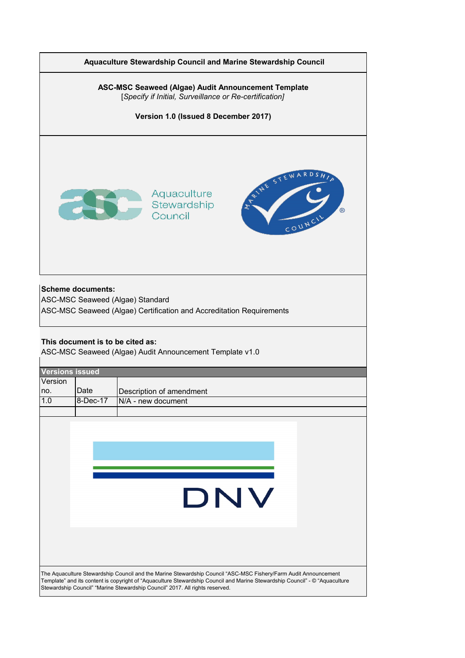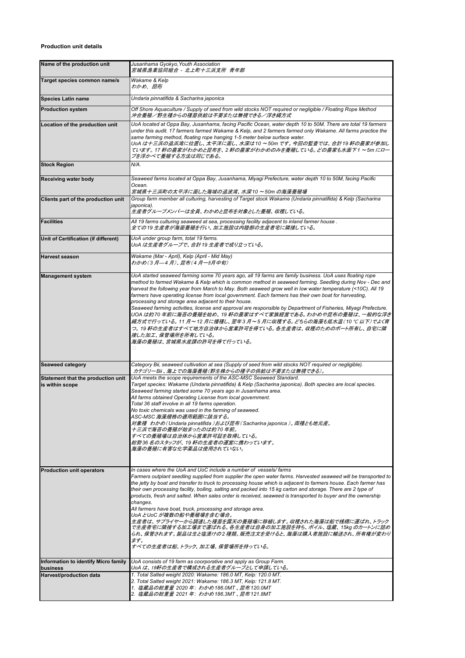## **Production unit details**

| Name of the production unit                                                                                                                                                                                                                      | Jusanhama Gyokyo, Youth Association<br>宮城県漁業協同組合 - 北上町十三浜支所 青年部                                                                                                                                                                                                                                                                                                                                                                                                                                                                                                                                                                                                                                                                                                                                                                                                             |  |  |  |  |
|--------------------------------------------------------------------------------------------------------------------------------------------------------------------------------------------------------------------------------------------------|-----------------------------------------------------------------------------------------------------------------------------------------------------------------------------------------------------------------------------------------------------------------------------------------------------------------------------------------------------------------------------------------------------------------------------------------------------------------------------------------------------------------------------------------------------------------------------------------------------------------------------------------------------------------------------------------------------------------------------------------------------------------------------------------------------------------------------------------------------------------------------|--|--|--|--|
| Target species common name/s                                                                                                                                                                                                                     | Wakame & Kelp<br>わかめ、昆布                                                                                                                                                                                                                                                                                                                                                                                                                                                                                                                                                                                                                                                                                                                                                                                                                                                     |  |  |  |  |
| <b>Species Latin name</b>                                                                                                                                                                                                                        | Undaria pinnatifida & Sacharina japonica                                                                                                                                                                                                                                                                                                                                                                                                                                                                                                                                                                                                                                                                                                                                                                                                                                    |  |  |  |  |
| <b>Production system</b>                                                                                                                                                                                                                         | Off Shore Aquaculture / Supply of seed from wild stocks NOT required or neqliqible / Floating Rope Method<br>沖合養殖/野生種からの種苗供給は不要または無視できる/浮き縄方式                                                                                                                                                                                                                                                                                                                                                                                                                                                                                                                                                                                                                                                                                                                               |  |  |  |  |
| Location of the production unit                                                                                                                                                                                                                  | UoA located at Oppa Bay, Jusanhama, facing Pacific Ocean, water depth 10 to 50M. There are total 19 farmers<br>under this audit. 17 farmers farmed Wakame & Kelp, and 2 farmers farmed only Wakame. All farms practice the<br>same farming method, floating rope hanging 1-5 meter below surface water.<br>UoA は十三浜の追浜湾に位置し、太平洋に面し、水深は10 ~50m です。 今回の監査では、合計19 軒の農家が参加し<br>ています。 17 軒の農家がわかめと昆布を、2 軒の農家がわかめのみを養殖している。どの農家も水面下1 ~5m にロー<br>プを浮かべて養殖する方法は同じである。                                                                                                                                                                                                                                                                                                                                                                                                               |  |  |  |  |
| <b>Stock Region</b>                                                                                                                                                                                                                              | N/A.                                                                                                                                                                                                                                                                                                                                                                                                                                                                                                                                                                                                                                                                                                                                                                                                                                                                        |  |  |  |  |
| <b>Receiving water body</b>                                                                                                                                                                                                                      | Seaweed farms located at Oppa Bay, Jusanhama, Miyagi Prefecture, water depth 10 to 50M, facing Pacific<br>Ocean.<br>宮城県十三浜町の太平洋に面した海域の追波湾、水深10 ~50m の海藻養殖場                                                                                                                                                                                                                                                                                                                                                                                                                                                                                                                                                                                                                                                                                                                  |  |  |  |  |
| Clients part of the production unit                                                                                                                                                                                                              | Group farm member all culturing, harvesting of Target stock Wakame (Undaria pinnatifida) & Kelp (Sacharina<br>japonica).<br>生産者グループメンバーは全員、わかめと昆布を対象とした養殖、収穫している。                                                                                                                                                                                                                                                                                                                                                                                                                                                                                                                                                                                                                                                                                                           |  |  |  |  |
| <b>Facilities</b>                                                                                                                                                                                                                                | All 19 farms culturing seaweed at sea, processing facility adjacent to inland farmer house.<br>全ての19 生産者が海面養殖を行い、加工施設は内陸部の生産者宅に隣接している。                                                                                                                                                                                                                                                                                                                                                                                                                                                                                                                                                                                                                                                                                                                                      |  |  |  |  |
| Unit of Certification (if different)                                                                                                                                                                                                             | UoA under group farm, total 19 farms.<br>UoA は生産者グループで、合計19 生産者で成り立っている。                                                                                                                                                                                                                                                                                                                                                                                                                                                                                                                                                                                                                                                                                                                                                                                                    |  |  |  |  |
| <b>Harvest season</b>                                                                                                                                                                                                                            | Wakame (Mar - April), Kelp (April - Mid May)<br>わかめ(3月—4月)、昆布(4月一5月中旬)                                                                                                                                                                                                                                                                                                                                                                                                                                                                                                                                                                                                                                                                                                                                                                                                      |  |  |  |  |
| <b>Management system</b>                                                                                                                                                                                                                         | UoA started seaweed farming some 70 years ago, all 19 farms are family business. UoA uses floating rope<br>method to farmed Wakame & Kelp which is common method in seaweed farming. Seedling during Nov - Dec and<br>harvest the following year from March to May. Both seaweed grow well in low water temperature (<10C). All 19<br>farmers have operating license from local government. Each farmers has their own boat for harvesting,<br>processing and storage area adjacent to their house.<br>Seaweed farming activities, license and approval are responsible by Department of Fisheries, Miyagi Prefecture.<br>UOA は約70 年前に海苔の養殖を始め、19 軒の農家はすべて家族経営である。わかめや昆布の養殖は、一般的な浮き<br>縄方式で行っている。 11 月~12 月に播種し、翌年3月~5月に収穫する。どちらの海藻も低水温(10 ℃ 以下)でよく育<br>つ。 19 軒の生産者はすべて地方自治体から営業許可を得ている。各生産者は、収穫のためのボート所有し、自宅に隣<br>接した加工、保管場所を所有している。<br>海藻の養殖は、宮城県水産課の許可を得て行っている。          |  |  |  |  |
| <b>Seaweed category</b>                                                                                                                                                                                                                          | Category Bii, seaweed cultivation at sea (Supply of seed from wild stocks NOT required or negligible).<br>カテゴリーBii、海上での海藻養殖(野生株からの種子の供給は不要または無視できる)。                                                                                                                                                                                                                                                                                                                                                                                                                                                                                                                                                                                                                                                                                                                        |  |  |  |  |
| Statement that the production unit<br>is within scope                                                                                                                                                                                            | UoA meets the scope requirements of the ASC-MSC Seaweed Standard.<br>Target species: Wakame (Undaria pinnatifida) & Kelp (Sacharina japonica). Both species are local species.<br>Seaweed farming started some 70 years ago in Jusanhama area.<br>All farms obtained Operating License from local government.<br>Total 36 staff involve in all 19 farms operation.<br>No toxic chemicals was used in the farming of seaweed.<br>ASC-MSC 海藻規格の適用範囲に該当する。<br>対象種 わかめ(Undaria pinnatifida )および昆布(Sacharina japonica )。 両種とも地元産。<br>十三浜で海苔の養殖が始まったのは約70 年前。<br>すべての養殖場は自治体から営業許可証を取得している。<br>総勢36 名のスタッフが、19 軒の生産者の運営に携わっています。<br>海藻の養殖に有害な化学薬品は使用されていない。                                                                                                                                                                                                                       |  |  |  |  |
| <b>Production unit operators</b>                                                                                                                                                                                                                 | In cases where the UoA and UoC include a number of vessels/farms<br>Farmers outplant seedling supplied from supplier the open water farms. Harvested seaweed will be transported to<br>the jetty by boat and transfer to truck to processing house which is adjacent to farmers house. Each farmer has<br>their own processing facility, boiling, salting and packed into 15 kg carton and storage. There are 2 type of<br>products, fresh and salted. When sales order is received, seaweed is transported to buyer and the ownership<br>changes.<br>All farmers have boat, truck, processing and storage area.<br>UoA とUoC が複数の船や養殖場を含む場合。<br>生産者は、サプライヤーから調達した種苗を露天の養殖場に移植します。収穫された海藻は船で桟橋に運ばれ、トラック<br>で生産者宅に隣接する加工場まで運ばれる。各生産者は自身の加工施設を持ち、ボイル、 塩蔵、 15kg のカートンに詰め<br>られ、保管されます。 製品は生と塩漬けの2 種類。 販売注文を受けると、海藻は購入者施設に輸送され、 所有権が変わり<br>ます。<br>すべての生産者は船、トラック、加工場、保管場所を持っている。 |  |  |  |  |
| Information to identify Micro family<br>business                                                                                                                                                                                                 | UoA consists of 19 farm as coorporative and apply as Group Farm.<br>UoA は、19軒の生産者で構成される生産者グループとして申請している。                                                                                                                                                                                                                                                                                                                                                                                                                                                                                                                                                                                                                                                                                                                                                                    |  |  |  |  |
| 1. Total Salted weight 2020: Wakame: 186.0 MT, Kelp: 120.0 MT.<br>Harvest/production data<br>2. Total Salted weight 2021: Wakame: 186.3 MT, Kelp: 121.8 MT.<br>1.塩蔵品の総重量 2020 年:わかめ186.0MT 、昆布120.0MT<br>2. 塩蔵品の総重量 2021 年: わかめ186.3MT、昆布121.8MT |                                                                                                                                                                                                                                                                                                                                                                                                                                                                                                                                                                                                                                                                                                                                                                                                                                                                             |  |  |  |  |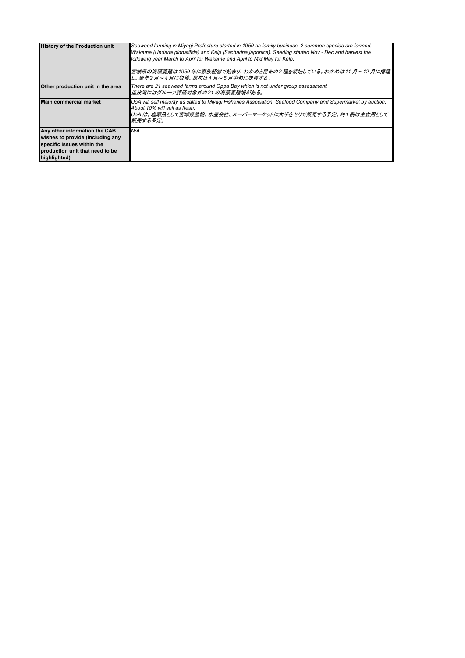| <b>History of the Production unit</b>                                                                                                               | Seeweed farming in Miyagi Prefecture started in 1950 as family business, 2 common species are farmed,<br>Wakame (Undaria pinnatifida) and Kelp (Sacharina japonica). Seeding started Nov - Dec and harvest the<br>following year March to April for Wakame and April to Mid May for Kelp.<br> 宮城県の海藻養殖は1950 年に家族経営で始まり、わかめと昆布の2 種を栽培している。わかめは11 月~12 月に播種 <br>し、翌年3月~4月に収穫、昆布は4月~5月中旬に収穫する。 |
|-----------------------------------------------------------------------------------------------------------------------------------------------------|---------------------------------------------------------------------------------------------------------------------------------------------------------------------------------------------------------------------------------------------------------------------------------------------------------------------------------------------------------------------------------------------|
| Other production unit in the area                                                                                                                   | There are 21 seaweed farms around Oppa Bay which is not under group assessment.<br>追波湾にはグループ評価対象外の21 の海藻養殖場がある。                                                                                                                                                                                                                                                                             |
| <b>Main commercial market</b>                                                                                                                       | UoA will sell majority as salted to Miyagi Fisheries Association, Seafood Company and Supermarket by auction.<br>About 10% will sell as fresh.<br>UoA は、塩蔵品として宮城県漁協、水産会社、スーパーマーケットに大半をセリで販売する予定。約1 割は生食用として<br>販売する予定。                                                                                                                                                                      |
| Any other information the CAB<br>wishes to provide (including any<br>specific issues within the<br>production unit that need to be<br>highlighted). | N/A.                                                                                                                                                                                                                                                                                                                                                                                        |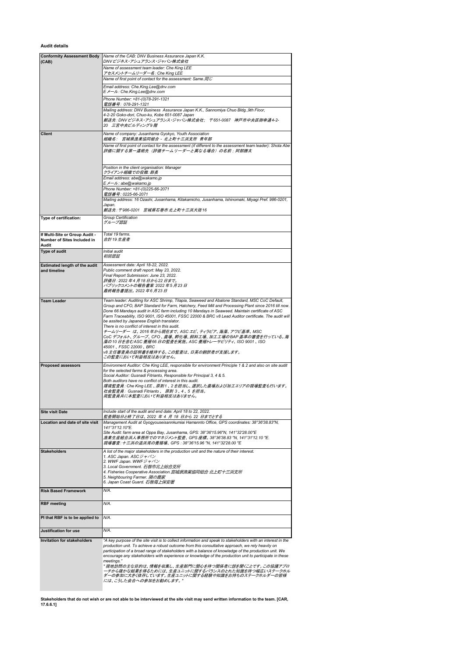**Audit details**

| Conformity Assessment Body<br>(CAB)                                    | Name of the CAB: DNV Business Assurance Japan K.K.<br>DNV ビジネス・アシュアランス・ジャパン株式会社                                                                                                                                                                                                                                                                                                                                                                                                                                                                                                                                                                                                                                                                                            |  |  |  |  |
|------------------------------------------------------------------------|----------------------------------------------------------------------------------------------------------------------------------------------------------------------------------------------------------------------------------------------------------------------------------------------------------------------------------------------------------------------------------------------------------------------------------------------------------------------------------------------------------------------------------------------------------------------------------------------------------------------------------------------------------------------------------------------------------------------------------------------------------------------------|--|--|--|--|
|                                                                        | Name of assessment team leader: Che King LEE                                                                                                                                                                                                                                                                                                                                                                                                                                                                                                                                                                                                                                                                                                                               |  |  |  |  |
|                                                                        | アセスメントチームリーダー名 : Che King LEE<br>Name of first point of contact for the assessment: Same.同じ                                                                                                                                                                                                                                                                                                                                                                                                                                                                                                                                                                                                                                                                                |  |  |  |  |
|                                                                        | Email address: Che.King.Lee@dnv.com                                                                                                                                                                                                                                                                                                                                                                                                                                                                                                                                                                                                                                                                                                                                        |  |  |  |  |
|                                                                        | E メール : Che.King.Lee@dnv.com                                                                                                                                                                                                                                                                                                                                                                                                                                                                                                                                                                                                                                                                                                                                               |  |  |  |  |
|                                                                        | Phone Number: +81-(0)78-291-1321<br>電話番号:078-291-1321                                                                                                                                                                                                                                                                                                                                                                                                                                                                                                                                                                                                                                                                                                                      |  |  |  |  |
|                                                                        | Mailing address: DNV Business Assurance Japan K.K., Sannomiya Chuo Bldg., 9th Floor,<br>4-2-20 Goko-dori, Chuo-ku, Kobe 651-0087 Japan                                                                                                                                                                                                                                                                                                                                                                                                                                                                                                                                                                                                                                     |  |  |  |  |
|                                                                        | 郵送先: DNV ビジネス・アシュアランス・ジャパン株式会社; 〒651-0087 神戸市中央区御幸通4-2-<br>20 三宮中央ビルディング9 階                                                                                                                                                                                                                                                                                                                                                                                                                                                                                                                                                                                                                                                                                                |  |  |  |  |
| Client                                                                 | Name of company: Jusanhama Gyokyo, Youth Association<br>組織名: 宮城県漁業協同組合 - 北上町十三浜支所 青年部                                                                                                                                                                                                                                                                                                                                                                                                                                                                                                                                                                                                                                                                                      |  |  |  |  |
|                                                                        | Name of first point of contact for the assessment (if different to the assessment team leader): Shota Abe<br>評価に関する第一連絡先(評価チームリーダーと異なる場合)の名前;阿部勝太                                                                                                                                                                                                                                                                                                                                                                                                                                                                                                                                                                                                                          |  |  |  |  |
|                                                                        | Position in the client organisation: Manager                                                                                                                                                                                                                                                                                                                                                                                                                                                                                                                                                                                                                                                                                                                               |  |  |  |  |
|                                                                        | クライアント組織での役職: 部長<br>Email address: abe@wakamo.jp                                                                                                                                                                                                                                                                                                                                                                                                                                                                                                                                                                                                                                                                                                                           |  |  |  |  |
|                                                                        | E メール: abe@wakamo.jp<br>Phone Number: +81-(0)225-66-2071                                                                                                                                                                                                                                                                                                                                                                                                                                                                                                                                                                                                                                                                                                                   |  |  |  |  |
|                                                                        | 電話番号: 0225-66-2071                                                                                                                                                                                                                                                                                                                                                                                                                                                                                                                                                                                                                                                                                                                                                         |  |  |  |  |
|                                                                        | Mailing address: 16 Ozashi, Jusanhama, Kitakamicho, Jusanhama, Ishinomaki, Miyagi Pref. 986-0201,<br>Japan.<br>郵送先: 〒986-0201 宮城県石巻市 北上町十三浜大指16                                                                                                                                                                                                                                                                                                                                                                                                                                                                                                                                                                                                                            |  |  |  |  |
| Type of certification:                                                 | Group Certification<br>グループ認証                                                                                                                                                                                                                                                                                                                                                                                                                                                                                                                                                                                                                                                                                                                                              |  |  |  |  |
| If Multi-Site or Group Audit -<br>Number of Sites Included in<br>Audit | Total 19 farms.<br>合計19 生産者                                                                                                                                                                                                                                                                                                                                                                                                                                                                                                                                                                                                                                                                                                                                                |  |  |  |  |
| Type of audit                                                          | Initial audit<br>初回認証                                                                                                                                                                                                                                                                                                                                                                                                                                                                                                                                                                                                                                                                                                                                                      |  |  |  |  |
| <b>Estimated length of the audit</b><br>and timeline                   | Assessment date: April 18-22, 2022.<br>Public comment draft report: May 23, 2022.                                                                                                                                                                                                                                                                                                                                                                                                                                                                                                                                                                                                                                                                                          |  |  |  |  |
|                                                                        | Final Report Submission: June 23, 2022.                                                                                                                                                                                                                                                                                                                                                                                                                                                                                                                                                                                                                                                                                                                                    |  |  |  |  |
|                                                                        | 評価日: 2022 年4 月 18 日から22 日まで。<br>パブリックコメントの報告書案 2022 年5 月23 日                                                                                                                                                                                                                                                                                                                                                                                                                                                                                                                                                                                                                                                                                                               |  |  |  |  |
|                                                                        | 最終報告書提出。 2022 年6 月 23 日                                                                                                                                                                                                                                                                                                                                                                                                                                                                                                                                                                                                                                                                                                                                                    |  |  |  |  |
| <b>Team Leader</b>                                                     | Team leader: Auditing for ASC Shrimp, Tilapia, Seaweed and Abalone Standard, MSC CoC Default,<br>Group and CFO, BAP Standard for Farm, Hatchery, Feed Mill and Processing Plant since 2016 till now.<br>Done 66 Mandays audit in ASC farm including 10 Mandays in Seaweed. Maintain certificate of ASC<br>Farm Traceability, ISO 9001, ISO 45001, FSSC 22000 & BRC v8 Lead Auditor certificate. The audit will<br>be assited by Japanese English translator.<br>There is no conflict of interest in this audit.<br>チームリーダー は、2016 年から現在まで、ASC エビ、ティラピア、海藻、アワビ基準、MSC<br>CoC デフォルト、グループ、CFO、農場、孵化場、飼料工場、加工工場のBAP 基準の審査を行っている。海<br><i>藻の10 日を含む</i> ASC <i>養殖66 日の監査を実施。 ASC 養殖トレーサビリティ、 ISO 9001、 ISO</i><br>45001, FSSC 22000, BRC<br>v8 主任審査員の証明書を維持する。この監査は、日英の翻訳者が支援します。 |  |  |  |  |
| <b>Proposed assessors</b>                                              | この監査において利益相反はありません。<br>Environment Auditor: Che King LEE, responsible for environment Principle 1 & 2 and also on site audit                                                                                                                                                                                                                                                                                                                                                                                                                                                                                                                                                                                                                                               |  |  |  |  |
|                                                                        | for the selected farms & processing area.<br>Social Auditor: Gusnadi Fitrianto, Responsible for Principal 3, 4 & 5.<br>Both auditors have no conflict of interest in this audit.<br>環境監査員: Che King LEE 、原則1、2 を担当し、選択した農場および加工エリアの現場監査も行います。<br>社会監査員: Gusnadi Fitrianto 、 原則 3 、4 、5 を担当。<br>両監査員共に本監査において利益相反はありません。                                                                                                                                                                                                                                                                                                                                                                                                                                                    |  |  |  |  |
| <b>Site visit Date</b>                                                 | Include start of the audit and end date: April 18 to 22, 2022.<br>監査開始日と終了日は、2022 年 4 月 18 日から 22 日までとする                                                                                                                                                                                                                                                                                                                                                                                                                                                                                                                                                                                                                                                                   |  |  |  |  |
| <b>Location and date of site visit</b>                                 | Management Audit at Gyogyouseisannkumiai Hamannto Office, GPS coordinates: 38°36'38.83"N,<br>141°31'12.10"E.<br>Site Audit: farm area at Oppa Bay, Jusanhama, GPS: 38°36'15.96"N, 141°32'28.00"E<br>漁業生産組合浜人事務所でのマネジメント監査、GPS 座標。 38°36'38.83 "N, 141°31'12.10 "E.<br>現場審査: 十三浜の追浜湾の養殖場、GPS : 38°36'15.96 "N, 141°32'28.00 "E                                                                                                                                                                                                                                                                                                                                                                                                                                              |  |  |  |  |
| Stakeholders                                                           | A list of the major stakeholders in the production unit and the nature of their interest.<br>1. ASC Japan. ASCジャパン<br>2. WWF Japan. WWF ジャパン<br>3. Local Government. 石巻市北上総合支所<br>4. Fisheries Cooperative Association. 宮城県漁業協同組合 北上町十三浜支所<br>5. Neighbouring Farmer. 隣の農家<br>6. Japan Coast Guard. 石巻海上保安署                                                                                                                                                                                                                                                                                                                                                                                                                                                                |  |  |  |  |
| <b>Risk Based Framework</b>                                            | N/A.                                                                                                                                                                                                                                                                                                                                                                                                                                                                                                                                                                                                                                                                                                                                                                       |  |  |  |  |
| <b>RBF</b> meeting                                                     | N/A.                                                                                                                                                                                                                                                                                                                                                                                                                                                                                                                                                                                                                                                                                                                                                                       |  |  |  |  |
| PI that RBF is to be applied to                                        | N/A.                                                                                                                                                                                                                                                                                                                                                                                                                                                                                                                                                                                                                                                                                                                                                                       |  |  |  |  |
| <b>Justification for use</b>                                           | N/A.                                                                                                                                                                                                                                                                                                                                                                                                                                                                                                                                                                                                                                                                                                                                                                       |  |  |  |  |
| <b>Invitation for stakeholders</b>                                     | "A key purpose of the site visit is to collect information and speak to stakeholders with an interest in the                                                                                                                                                                                                                                                                                                                                                                                                                                                                                                                                                                                                                                                               |  |  |  |  |
|                                                                        | production unit. To achieve a robust outcome from this consultative approach, we rely heavily on<br>participation of a broad range of stakeholders with a balance of knowledge of the production unit. We<br>encourage any stakeholders with experience or knowledge of the production unit to participate in these<br>meetings."<br>" 現地訪問の主な目的は、情報を収集し、生産部門に関心を持つ関係者に話を聞くことです。この協議アプロ<br>−チから確かな結果を得るためには、生産ユニットに関するバランスのとれた知識を持つ幅広いステークホル<br>ダーの参加に大きく依存しています。生産ユニットに関する経験や知識をお持ちのステークホルダーの皆様<br>には、こうした会合への参加をお勧めします。"                                                                                                                                                                                                                                                 |  |  |  |  |

**Stakeholders that do not wish or are not able to be interviewed at the site visit may send written information to the team. [CAR, 17.6.6.1]**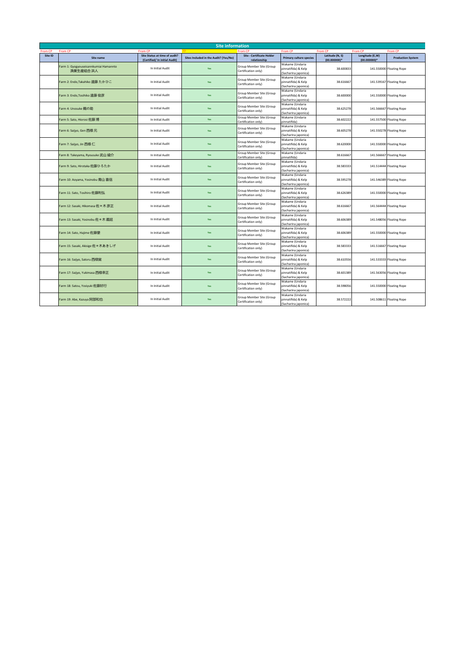|                | <b>Site information</b>               |                               |                                       |                                                 |                                             |                 |                 |                          |  |
|----------------|---------------------------------------|-------------------------------|---------------------------------------|-------------------------------------------------|---------------------------------------------|-----------------|-----------------|--------------------------|--|
| <b>From CP</b> | <b>From CP</b>                        | <b>From CP</b>                |                                       | <b>From CP</b>                                  | From CP                                     | <b>From CF</b>  | <b>From CP</b>  | From CP                  |  |
| Site ID        | Site name                             | Site Status at time of audit? | Sites Included in the Audit? (Yes/No) | Site - Certificate Holder                       | <b>Primary culture species</b>              | Latitude (N, S) | Longitude (E,W) | <b>Production System</b> |  |
|                |                                       | (Certified/ In initial Audit) |                                       | relationship                                    | Wakame (Undaria                             | $(00.000000)*$  | $(00.000000)*$  |                          |  |
|                | Farm 1: Gyogyouseisannkumiai Hamannto | In Initial Audit              | Yes                                   | Group Member Site (Group                        | pinnatifida) & Kelp                         | 38.600833       |                 | 141.550000 Floating Rope |  |
|                | 漁業生産組合 浜人                             |                               |                                       | Certification only)                             | (Sacharina japonica)                        |                 |                 |                          |  |
|                |                                       |                               |                                       |                                                 | Wakame (Undaria                             |                 |                 |                          |  |
|                | Farm 2: Endo,Takahiko 遠藤 たかひこ         | In Initial Audit              | Yes                                   | Group Member Site (Group                        | pinnatifida) & Kelp                         | 38.616667       |                 | 141.539167 Floating Rope |  |
|                |                                       |                               |                                       | Certification only)                             | (Sacharina japonica)                        |                 |                 |                          |  |
|                |                                       |                               |                                       | Group Member Site (Group                        | Wakame (Undaria                             |                 |                 |                          |  |
|                | Farm 3: Endo, Tosihiko 遠藤 俊彦          | In Initial Audit              | Yes                                   | Certification only)                             | pinnatifida) & Kelp                         | 38.600000       |                 | 141.550000 Floating Rope |  |
|                |                                       |                               |                                       |                                                 | (Sacharina japonica)                        |                 |                 |                          |  |
|                |                                       |                               |                                       | Group Member Site (Group                        | Wakame (Undaria                             |                 |                 |                          |  |
|                | Farm 4: Unosuke 鵜の助                   | In Initial Audit              | Yes                                   | Certification only)                             | pinnatifida) & Kelp                         | 38.625278       |                 | 141.566667 Floating Rope |  |
|                |                                       |                               |                                       | Group Member Site (Group                        | (Sacharina japonica)<br>Wakame (Undaria     |                 |                 |                          |  |
|                | Farm 5: Sato, Hiorosi 佐藤博             | In Initial Audit              | Yes                                   | Certification only)                             | pinnatifida)                                | 38.602222       |                 | 141.557500 Floating Rope |  |
|                |                                       |                               |                                       |                                                 | Wakame (Undaria                             |                 |                 |                          |  |
|                | Farm 6: Saijyo, Gen 西條元               | In Initial Audit              | Yes                                   | Group Member Site (Group                        | pinnatifida) & Kelp                         | 38.605278       |                 | 141.550278 Floating Rope |  |
|                |                                       |                               |                                       | Certification only)                             | (Sacharina japonica)                        |                 |                 |                          |  |
|                |                                       |                               |                                       | Group Member Site (Group                        | Wakame (Undaria                             |                 |                 |                          |  |
|                | Farm 7: Saijyo, Jin 西條仁               | In Initial Audit              | <b>Yes</b>                            | Certification only)                             | pinnatifida) & Kelp                         | 38.620000       |                 | 141.550000 Floating Rope |  |
|                |                                       |                               |                                       |                                                 | (Sacharina japonica)                        |                 |                 |                          |  |
|                | Farm 8: Takeyama, Ryousuke 武山 綾介      | In Initial Audit              | Yes                                   | Group Member Site (Group                        | Wakame (Undaria                             | 38.616667       |                 | 141.566667 Floating Rope |  |
|                |                                       |                               |                                       | Certification only)                             | pinnatifida)                                |                 |                 |                          |  |
|                |                                       | In Initial Audit              | <b>Yes</b>                            | Group Member Site (Group                        | Wakame (Undaria                             | 38.583333       |                 |                          |  |
|                | Farm 9: Sato, Hirotaka 佐藤ひろたか         |                               |                                       | Certification only)                             | pinnatifida) & Kelp<br>(Sacharina japonica) |                 |                 | 141.514444 Floating Rope |  |
|                |                                       |                               |                                       |                                                 | Wakame (Undaria                             |                 |                 |                          |  |
|                | Farm 10: Aoyama, Yosinobu 青山 喜信       | In Initial Audit              | Yes                                   | Group Member Site (Group                        | pinnatifida) & Kelp                         | 38.595278       |                 | 141.546389 Floating Rope |  |
|                |                                       |                               |                                       | Certification only)                             | (Sacharina japonica)                        |                 |                 |                          |  |
|                |                                       |                               |                                       | Group Member Site (Group                        | Wakame (Undaria                             |                 |                 |                          |  |
|                | Farm 11: Sato, Tosihiro 佐藤利弘          | In Initial Audit              | Yes                                   | Certification only)                             | pinnatifida) & Kelp                         | 38.626389       |                 | 141.550000 Floating Rope |  |
|                |                                       |                               |                                       |                                                 | (Sacharina japonica)                        |                 |                 |                          |  |
|                |                                       |                               |                                       |                                                 | Group Member Site (Group                    | Wakame (Undaria |                 |                          |  |
|                | Farm 12: Sasaki, Hikomasa 佐々木彦正       | In Initial Audit              | Yes                                   | Certification only)                             | pinnatifida) & Kelp<br>(Sacharina japonica) | 38.616667       |                 | 141.564444 Floating Rope |  |
|                |                                       |                               |                                       |                                                 | Wakame (Undaria                             |                 |                 |                          |  |
|                | Farm 13: Sasaki, Yosinobu 佐々木義延       | In Initial Audit              | Yes                                   | Group Member Site (Group                        | pinnatifida) & Kelp                         | 38.606389       |                 | 141.548056 Floating Rope |  |
|                |                                       |                               |                                       | Certification only)                             | (Sacharina japonica)                        |                 |                 |                          |  |
|                |                                       |                               |                                       |                                                 | Wakame (Undaria                             |                 |                 |                          |  |
|                | Farm 14: Sato, Hajime 佐藤肇             | In Initial Audit              | Yes                                   | Group Member Site (Group<br>Certification only) | pinnatifida) & Kelp                         | 38.606389       |                 | 141.550000 Floating Rope |  |
|                |                                       |                               |                                       |                                                 | (Sacharina japonica)                        |                 |                 |                          |  |
|                |                                       |                               |                                       | Group Member Site (Group                        | Wakame (Undaria                             |                 |                 |                          |  |
|                | Farm 15: Sasaki, Akisige 佐々木あきしげ      | In Initial Audit              | Yes                                   | Certification only)                             | pinnatifida) & Kelp                         | 38,583333       |                 | 141.516667 Floating Rope |  |
|                |                                       |                               |                                       |                                                 | (Sacharina japonica)<br>Wakame (Undaria     |                 |                 |                          |  |
|                | Farm 16: Saijyo, Satoru 西條覚           | In Initial Audit              | Yes                                   | Group Member Site (Group                        | pinnatifida) & Kelp                         | 38.610556       |                 | 141.533333 Floating Rope |  |
|                |                                       |                               |                                       | Certification only)                             | (Sacharina japonica)                        |                 |                 |                          |  |
|                |                                       |                               |                                       |                                                 | Wakame (Undaria                             |                 |                 |                          |  |
|                | Farm 17: Saijyo, Yukimasa 西條幸正        | In Initial Audit              | Yes                                   | Group Member Site (Group                        | pinnatifida) & Kelp                         | 38.601389       |                 | 141.563056 Floating Rope |  |
|                |                                       |                               |                                       | Certification only)                             | (Sacharina japonica)                        |                 |                 |                          |  |
|                |                                       |                               |                                       | Group Member Site (Group                        | Wakame (Undaria                             |                 |                 |                          |  |
|                | Farm 18: Satou, Yosiyuki 佐藤好行         | In Initial Audit              | Yes                                   | Certification only)                             | pinnatifida) & Kelp                         | 38.598056       |                 | 141.550000 Floating Rope |  |
|                |                                       |                               |                                       |                                                 | (Sacharina japonica)                        |                 |                 |                          |  |
|                |                                       | In Initial Audit              | Yes                                   | Group Member Site (Group                        | Wakame (Undaria                             | 38.572222       |                 | 141.508611 Floating Rope |  |
|                | Farm 19: Abe, Kazuya 阿部和也             |                               |                                       | Certification only)                             | pinnatifida) & Kelp<br>(Sacharina japonica) |                 |                 |                          |  |
|                |                                       |                               |                                       |                                                 |                                             |                 |                 |                          |  |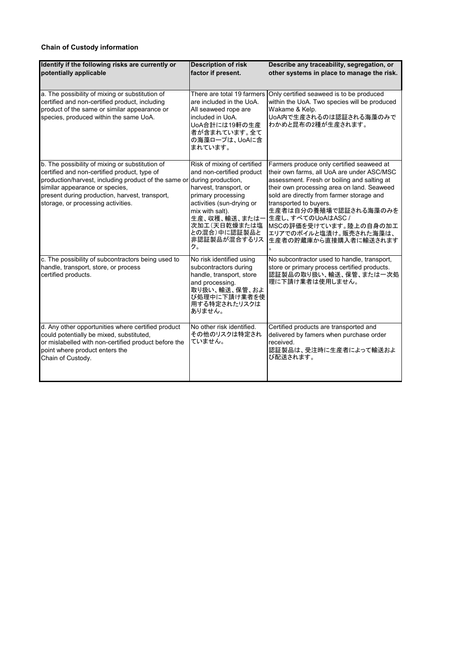# **Chain of Custody information**

| Identify if the following risks are currently or<br>potentially applicable                                                                                                                                                                                                        | <b>Description of risk</b><br>factor if present.                                                                                                                                                                                                       | Describe any traceability, segregation, or<br>other systems in place to manage the risk.                                                                                                                                                                                                                                                                                                          |
|-----------------------------------------------------------------------------------------------------------------------------------------------------------------------------------------------------------------------------------------------------------------------------------|--------------------------------------------------------------------------------------------------------------------------------------------------------------------------------------------------------------------------------------------------------|---------------------------------------------------------------------------------------------------------------------------------------------------------------------------------------------------------------------------------------------------------------------------------------------------------------------------------------------------------------------------------------------------|
| a. The possibility of mixing or substitution of<br>certified and non-certified product, including<br>product of the same or similar appearance or<br>species, produced within the same UoA.                                                                                       | There are total 19 farmers<br>are included in the UoA.<br>All seaweed rope are<br>included in UoA.<br>UoA合計には19軒の生産<br>者が含まれています。全て<br>の海藻ロープは、UoAに含<br>まれています。                                                                                        | Only certified seaweed is to be produced<br>within the UoA. Two species will be produced<br>Wakame & Kelp.<br>UoA内で生産されるのは認証される海藻のみで<br>わかめと昆布の2種が生産されます。                                                                                                                                                                                                                                         |
| b. The possibility of mixing or substitution of<br>certified and non-certified product, type of<br>production/harvest, including product of the same or<br>similar appearance or species,<br>present during production, harvest, transport,<br>storage, or processing activities. | Risk of mixing of certified<br>and non-certified product<br>during production,<br>harvest, transport, or<br>primary processing<br>activities (sun-drying or<br>mix with salt).<br>生産、収穫、輸送、またはー<br>次加工(天日乾燥または塩<br>との混合)中に認証製品と<br> 非認証製品が混合するリス<br>ク。 | Farmers produce only certified seaweed at<br>their own farms, all UoA are under ASC/MSC<br>assessment. Fresh or boiling and salting at<br>their own processing area on land. Seaweed<br>sold are directly from farmer storage and<br>transported to buyers.<br>生産者は自分の養殖場で認証される海藻のみを<br>生産し、すべてのUoAはASC /<br>MSCの評価を受けています。陸上の自身の加工<br>エリアでのボイルと塩漬け。販売された海藻は、<br>生産者の貯蔵庫から直接購入者に輸送されます<br>$\circ$ |
| c. The possibility of subcontractors being used to<br>handle, transport, store, or process<br>certified products.                                                                                                                                                                 | No risk identified using<br>subcontractors during<br>handle, transport, store<br>and processing.<br>取り扱い、輸送、保管、およ<br>び処理中に下請け業者を使<br>用する特定されたリスクは<br>ありません。                                                                                            | No subcontractor used to handle, transport,<br>store or primary process certified products.<br>認証製品の取り扱い、輸送、保管、または一次処<br>理に下請け業者は使用しません。                                                                                                                                                                                                                                                          |
| d. Any other opportunities where certified product<br>could potentially be mixed, substituted,<br>or mislabelled with non-certified product before the<br>point where product enters the<br>Chain of Custody.                                                                     | No other risk identified.<br>その他のリスクは特定され<br>ていません。                                                                                                                                                                                                    | Certified products are transported and<br>delivered by famers when purchase order<br>received.<br>認証製品は、受注時に生産者によって輸送およ<br>び配送されます。                                                                                                                                                                                                                                                               |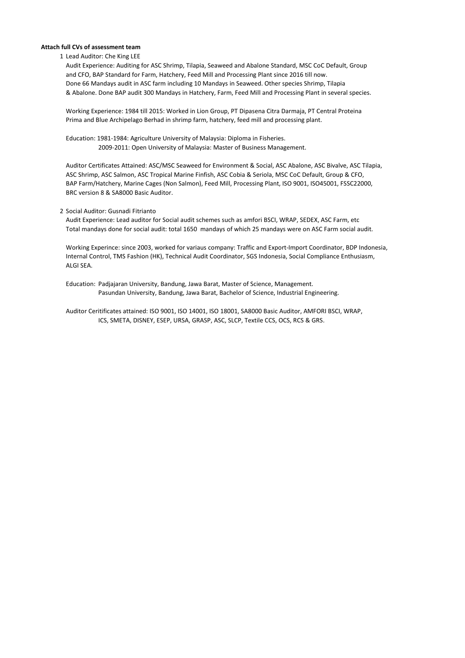## **Attach full CVs of assessment team**

#### 1 Lead Auditor: Che King LEE

Audit Experience: Auditing for ASC Shrimp, Tilapia, Seaweed and Abalone Standard, MSC CoC Default, Group and CFO, BAP Standard for Farm, Hatchery, Feed Mill and Processing Plant since 2016 till now. Done 66 Mandays audit in ASC farm including 10 Mandays in Seaweed. Other species Shrimp, Tilapia & Abalone. Done BAP audit 300 Mandays in Hatchery, Farm, Feed Mill and Processing Plant in several species.

Working Experience: 1984 till 2015: Worked in Lion Group, PT Dipasena Citra Darmaja, PT Central Proteina Prima and Blue Archipelago Berhad in shrimp farm, hatchery, feed mill and processing plant.

Education: 1981-1984: Agriculture University of Malaysia: Diploma in Fisheries. 2009-2011: Open University of Malaysia: Master of Business Management.

Auditor Certificates Attained: ASC/MSC Seaweed for Environment & Social, ASC Abalone, ASC Bivalve, ASC Tilapia, ASC Shrimp, ASC Salmon, ASC Tropical Marine Finfish, ASC Cobia & Seriola, MSC CoC Default, Group & CFO, BAP Farm/Hatchery, Marine Cages (Non Salmon), Feed Mill, Processing Plant, ISO 9001, ISO45001, FSSC22000, BRC version 8 & SA8000 Basic Auditor.

#### 2 Social Auditor: Gusnadi Fitrianto

Audit Experience: Lead auditor for Social audit schemes such as amfori BSCI, WRAP, SEDEX, ASC Farm, etc Total mandays done for social audit: total 1650 mandays of which 25 mandays were on ASC Farm social audit.

Working Experince: since 2003, worked for variaus company: Traffic and Export-Import Coordinator, BDP Indonesia, Internal Control, TMS Fashion (HK), Technical Audit Coordinator, SGS Indonesia, Social Compliance Enthusiasm, ALGI SEA.

Education: Padjajaran University, Bandung, Jawa Barat, Master of Science, Management. Pasundan University, Bandung, Jawa Barat, Bachelor of Science, Industrial Engineering.

Auditor Ceritificates attained: ISO 9001, ISO 14001, ISO 18001, SA8000 Basic Auditor, AMFORI BSCI, WRAP, ICS, SMETA, DISNEY, ESEP, URSA, GRASP, ASC, SLCP, Textile CCS, OCS, RCS & GRS.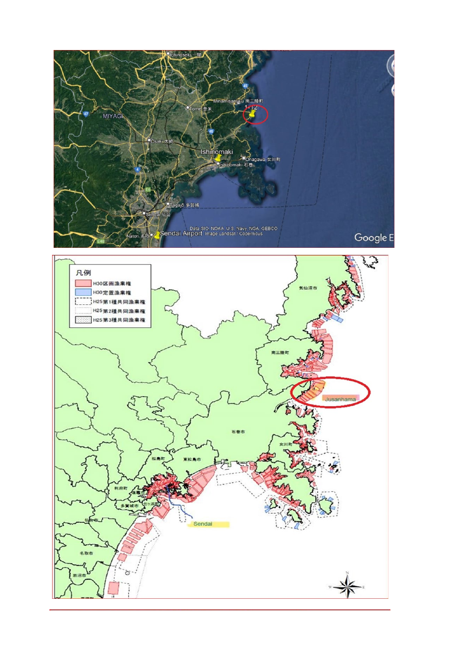